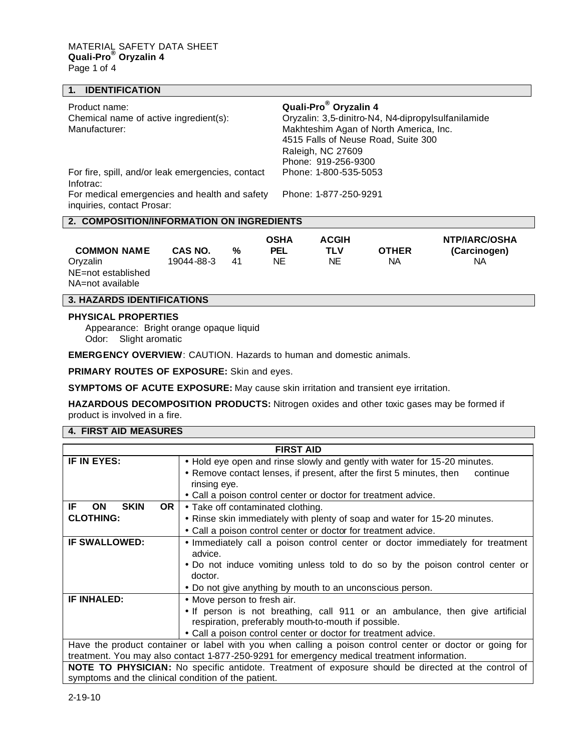# **1. IDENTIFICATION**

| Product name:                                                               | Quali-Pro <sup>®</sup> Oryzalin 4                  |
|-----------------------------------------------------------------------------|----------------------------------------------------|
| Chemical name of active ingredient(s):                                      | Oryzalin: 3,5-dinitro-N4, N4-dipropylsulfanilamide |
| Manufacturer:                                                               | Makhteshim Agan of North America, Inc.             |
|                                                                             | 4515 Falls of Neuse Road, Suite 300                |
|                                                                             | Raleigh, NC 27609                                  |
|                                                                             | Phone: 919-256-9300                                |
| For fire, spill, and/or leak emergencies, contact<br>Infotrac:              | Phone: 1-800-535-5053                              |
| For medical emergencies and health and safety<br>inquiries, contact Prosar: | Phone: 1-877-250-9291                              |
|                                                                             |                                                    |

### **2. COMPOSITION/INFORMATION ON INGREDIENTS**

| <b>COMMON NAME</b> | CAS NO.    | %  | <b>OSHA</b><br><b>PEL</b> | <b>ACGIH</b><br>TLV | <b>OTHER</b> | NTP/IARC/OSHA<br>(Carcinogen) |
|--------------------|------------|----|---------------------------|---------------------|--------------|-------------------------------|
| Orvzalin           | 19044-88-3 | 41 | NΕ                        | NΕ                  | NA           | NА                            |
| NE=not established |            |    |                           |                     |              |                               |
| NA=not available   |            |    |                           |                     |              |                               |

# **3. HAZARDS IDENTIFICATIONS**

#### **PHYSICAL PROPERTIES**

Appearance: Bright orange opaque liquid Odor: Slight aromatic

**EMERGENCY OVERVIEW**: CAUTION. Hazards to human and domestic animals.

**PRIMARY ROUTES OF EXPOSURE:** Skin and eyes.

**SYMPTOMS OF ACUTE EXPOSURE:** May cause skin irritation and transient eye irritation.

**HAZARDOUS DECOMPOSITION PRODUCTS:** Nitrogen oxides and other toxic gases may be formed if product is involved in a fire.

## **4. FIRST AID MEASURES**

| <b>FIRST AID</b>                                                                                         |                                                                                  |  |  |  |
|----------------------------------------------------------------------------------------------------------|----------------------------------------------------------------------------------|--|--|--|
| IF IN EYES:                                                                                              | • Hold eye open and rinse slowly and gently with water for 15-20 minutes.        |  |  |  |
|                                                                                                          | • Remove contact lenses, if present, after the first 5 minutes, then<br>continue |  |  |  |
|                                                                                                          | rinsing eye.                                                                     |  |  |  |
|                                                                                                          | • Call a poison control center or doctor for treatment advice.                   |  |  |  |
| <b>SKIN</b><br>OR.<br>IF<br><b>ON</b>                                                                    | • Take off contaminated clothing.                                                |  |  |  |
| <b>CLOTHING:</b>                                                                                         | • Rinse skin immediately with plenty of soap and water for 15-20 minutes.        |  |  |  |
|                                                                                                          | • Call a poison control center or doctor for treatment advice.                   |  |  |  |
| <b>IF SWALLOWED:</b>                                                                                     | • Immediately call a poison control center or doctor immediately for treatment   |  |  |  |
|                                                                                                          | advice.                                                                          |  |  |  |
|                                                                                                          | • Do not induce vomiting unless told to do so by the poison control center or    |  |  |  |
|                                                                                                          | doctor.                                                                          |  |  |  |
|                                                                                                          | • Do not give anything by mouth to an unconscious person.                        |  |  |  |
| <b>IF INHALED:</b>                                                                                       | • Move person to fresh air.                                                      |  |  |  |
|                                                                                                          | • If person is not breathing, call 911 or an ambulance, then give artificial     |  |  |  |
|                                                                                                          | respiration, preferably mouth-to-mouth if possible.                              |  |  |  |
|                                                                                                          | • Call a poison control center or doctor for treatment advice.                   |  |  |  |
| Have the product container or label with you when calling a poison control center or doctor or going for |                                                                                  |  |  |  |
| treatment. You may also contact 1-877-250-9291 for emergency medical treatment information.              |                                                                                  |  |  |  |
| NOTE TO PHYSICIAN: No specific antidote. Treatment of exposure should be directed at the control of      |                                                                                  |  |  |  |
| symptoms and the clinical condition of the patient.                                                      |                                                                                  |  |  |  |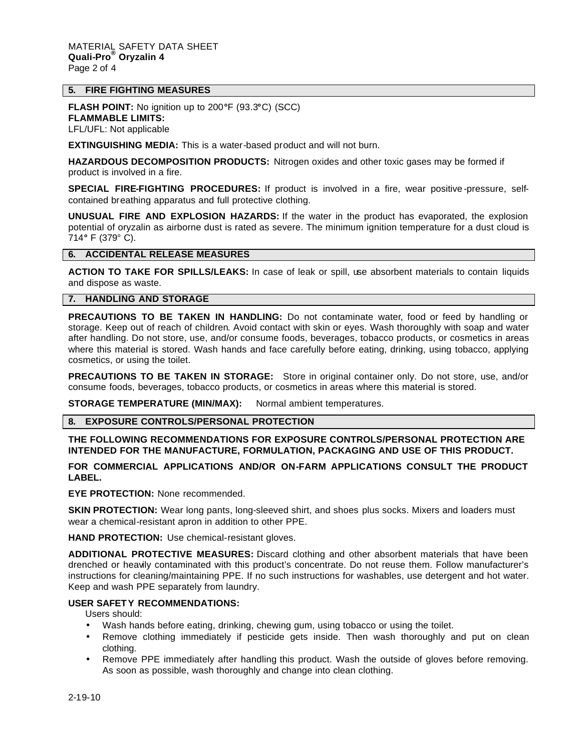## **5. FIRE FIGHTING MEASURES**

**FLASH POINT:** No ignition up to 200**°**F (93.3**°**C) (SCC) **FLAMMABLE LIMITS:**

LFL/UFL: Not applicable

**EXTINGUISHING MEDIA:** This is a water-based product and will not burn.

**HAZARDOUS DECOMPOSITION PRODUCTS:** Nitrogen oxides and other toxic gases may be formed if product is involved in a fire.

**SPECIAL FIRE-FIGHTING PROCEDURES:** If product is involved in a fire, wear positive -pressure, selfcontained breathing apparatus and full protective clothing.

**UNUSUAL FIRE AND EXPLOSION HAZARDS:** If the water in the product has evaporated, the explosion potential of oryzalin as airborne dust is rated as severe. The minimum ignition temperature for a dust cloud is 714**°** F (379° C).

#### **6. ACCIDENTAL RELEASE MEASURES**

**ACTION TO TAKE FOR SPILLS/LEAKS:** In case of leak or spill, use absorbent materials to contain liquids and dispose as waste.

#### **7. HANDLING AND STORAGE**

**PRECAUTIONS TO BE TAKEN IN HANDLING:** Do not contaminate water, food or feed by handling or storage. Keep out of reach of children. Avoid contact with skin or eyes. Wash thoroughly with soap and water after handling. Do not store, use, and/or consume foods, beverages, tobacco products, or cosmetics in areas where this material is stored. Wash hands and face carefully before eating, drinking, using tobacco, applying cosmetics, or using the toilet.

**PRECAUTIONS TO BE TAKEN IN STORAGE:** Store in original container only. Do not store, use, and/or consume foods, beverages, tobacco products, or cosmetics in areas where this material is stored.

**STORAGE TEMPERATURE (MIN/MAX):** Normal ambient temperatures.

# **8. EXPOSURE CONTROLS/PERSONAL PROTECTION**

# **THE FOLLOWING RECOMMENDATIONS FOR EXPOSURE CONTROLS/PERSONAL PROTECTION ARE INTENDED FOR THE MANUFACTURE, FORMULATION, PACKAGING AND USE OF THIS PRODUCT.**

# **FOR COMMERCIAL APPLICATIONS AND/OR ON-FARM APPLICATIONS CONSULT THE PRODUCT LABEL.**

**EYE PROTECTION:** None recommended.

**SKIN PROTECTION:** Wear long pants, long-sleeved shirt, and shoes plus socks. Mixers and loaders must wear a chemical-resistant apron in addition to other PPE.

**HAND PROTECTION:** Use chemical-resistant gloves.

**ADDITIONAL PROTECTIVE MEASURES:** Discard clothing and other absorbent materials that have been drenched or heavily contaminated with this product's concentrate. Do not reuse them. Follow manufacturer's instructions for cleaning/maintaining PPE. If no such instructions for washables, use detergent and hot water. Keep and wash PPE separately from laundry.

#### **USER SAFETY RECOMMENDATIONS:**

Users should:

- Wash hands before eating, drinking, chewing gum, using tobacco or using the toilet.
- Remove clothing immediately if pesticide gets inside. Then wash thoroughly and put on clean clothing.
- Remove PPE immediately after handling this product. Wash the outside of gloves before removing. As soon as possible, wash thoroughly and change into clean clothing.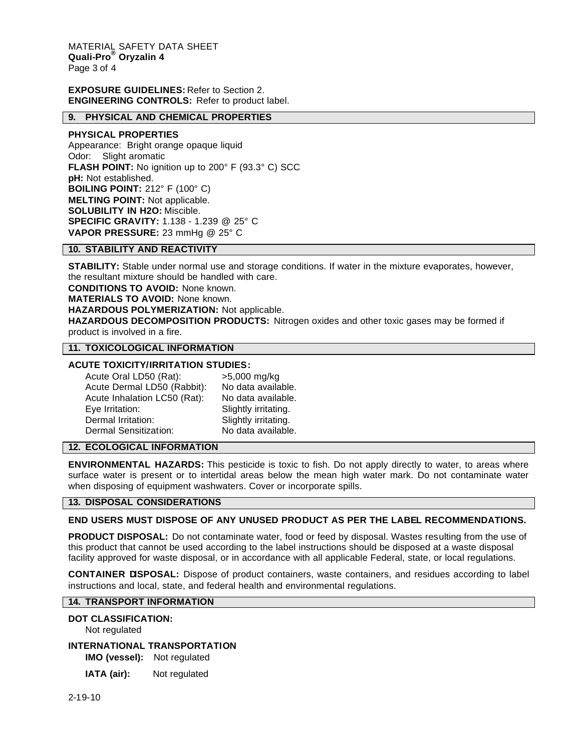MATERIAL SAFETY DATA SHEET **Quali-Pro® Oryzalin 4** Page 3 of 4

## **EXPOSURE GUIDELINES:** Refer to Section 2. **ENGINEERING CONTROLS:** Refer to product label.

#### **9. PHYSICAL AND CHEMICAL PROPERTIES**

#### **PHYSICAL PROPERTIES**

Appearance: Bright orange opaque liquid Odor: Slight aromatic **FLASH POINT:** No ignition up to 200° F (93.3° C) SCC **pH:** Not established. **BOILING POINT:** 212° F (100° C) **MELTING POINT:** Not applicable. **SOLUBILITY IN H2O:** Miscible. **SPECIFIC GRAVITY:** 1.138 - 1.239 @ 25° C **VAPOR PRESSURE:** 23 mmHg @ 25° C

#### **10. STABILITY AND REACTIVITY**

**STABILITY:** Stable under normal use and storage conditions. If water in the mixture evaporates, however, the resultant mixture should be handled with care.

**CONDITIONS TO AVOID:** None known.

**MATERIALS TO AVOID:** None known.

**HAZARDOUS POLYMERIZATION:** Not applicable.

**HAZARDOUS DECOMPOSITION PRODUCTS:** Nitrogen oxides and other toxic gases may be formed if product is involved in a fire.

#### **11. TOXICOLOGICAL INFORMATION**

## **ACUTE TOXICITY/IRRITATION STUDIES:**

Acute Oral LD50 (Rat): >5,000 mg/kg Acute Dermal LD50 (Rabbit): No data available. Acute Inhalation LC50 (Rat): No data available. Eye Irritation: Slightly irritating. Dermal Irritation: Slightly irritating. Dermal Sensitization: No data available.

#### **12. ECOLOGICAL INFORMATION**

**ENVIRONMENTAL HAZARDS:** This pesticide is toxic to fish. Do not apply directly to water, to areas where surface water is present or to intertidal areas below the mean high water mark. Do not contaminate water when disposing of equipment washwaters. Cover or incorporate spills.

#### **13. DISPOSAL CONSIDERATIONS**

## **END USERS MUST DISPOSE OF ANY UNUSED PRODUCT AS PER THE LABEL RECOMMENDATIONS.**

**PRODUCT DISPOSAL:** Do not contaminate water, food or feed by disposal. Wastes resulting from the use of this product that cannot be used according to the label instructions should be disposed at a waste disposal facility approved for waste disposal, or in accordance with all applicable Federal, state, or local regulations.

**CONTAINER DISPOSAL:** Dispose of product containers, waste containers, and residues according to label instructions and local, state, and federal health and environmental regulations.

# **14. TRANSPORT INFORMATION**

#### **DOT CLASSIFICATION:**

Not regulated

# **INTERNATIONAL TRANSPORTATION**

**IMO (vessel):** Not regulated

**IATA (air):** Not regulated